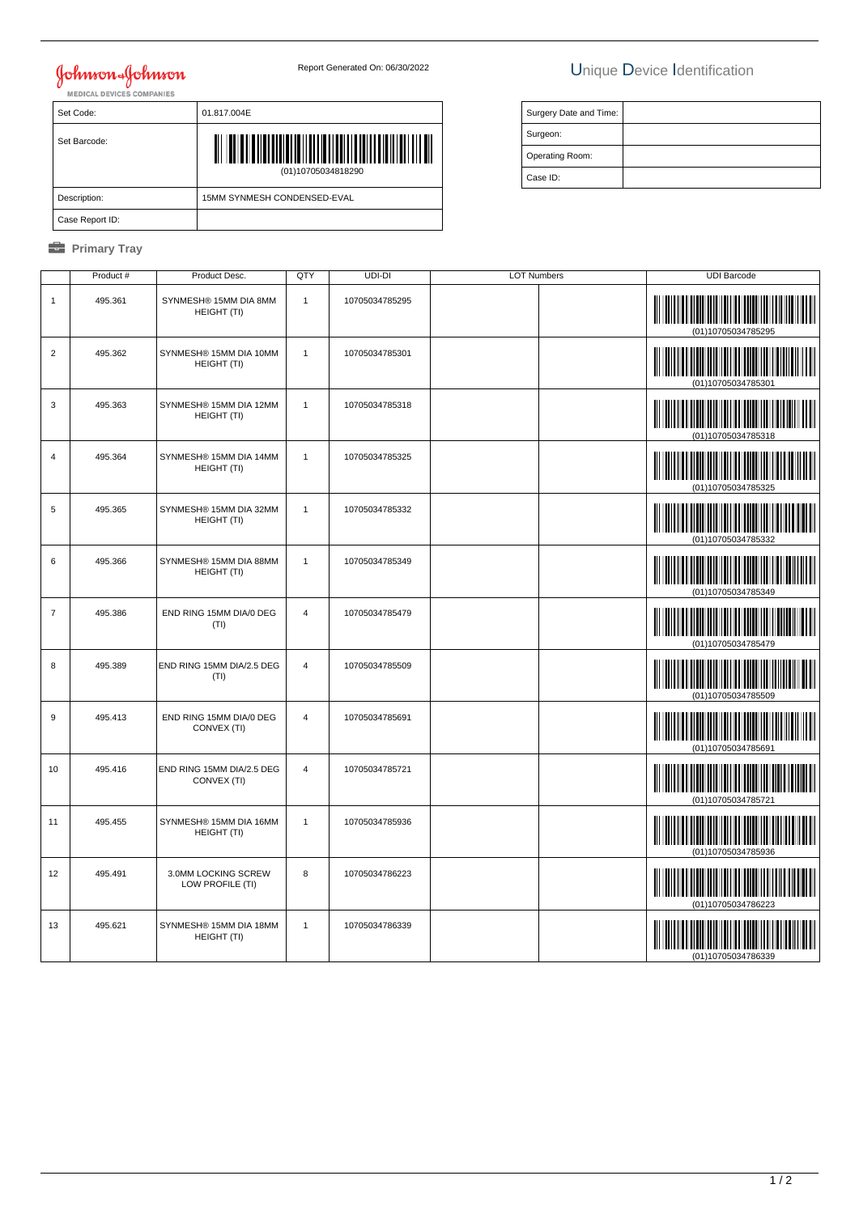# **Johnson & Johnson**

### Report Generated On: 06/30/2022 Unique Device Identification

| <b>MEDICAL DEVICES COMPANIES</b> |                                                               |  |  |
|----------------------------------|---------------------------------------------------------------|--|--|
| Set Code:                        | 01.817.004E                                                   |  |  |
| Set Barcode:                     | <u> ATA ATA MATA MATA MATA MATA MAT</u><br>(01)10705034818290 |  |  |
| Description:                     | 15MM SYNMESH CONDENSED-EVAL                                   |  |  |
| Case Report ID:                  |                                                               |  |  |

#### *<u><b>* Primary Tray</u>

| Surgery Date and Time: |  |
|------------------------|--|
| Surgeon:               |  |
| Operating Room:        |  |
| Case ID:               |  |

|                  | Product # | Product Desc.                            | QTY            | UDI-DI         | <b>LOT Numbers</b> | <b>UDI Barcode</b>                                |
|------------------|-----------|------------------------------------------|----------------|----------------|--------------------|---------------------------------------------------|
| $\mathbf{1}$     | 495.361   | SYNMESH® 15MM DIA 8MM<br>HEIGHT (TI)     | $\overline{1}$ | 10705034785295 |                    | (01)10705034785295                                |
| $\overline{2}$   | 495.362   | SYNMESH® 15MM DIA 10MM<br>HEIGHT (TI)    | $\mathbf{1}$   | 10705034785301 |                    | (01)10705034785301                                |
| 3                | 495.363   | SYNMESH® 15MM DIA 12MM<br>HEIGHT (TI)    | $\mathbf{1}$   | 10705034785318 |                    | (01)10705034785318                                |
| $\overline{4}$   | 495.364   | SYNMESH® 15MM DIA 14MM<br>HEIGHT (TI)    | $\mathbf{1}$   | 10705034785325 |                    | (01)10705034785325                                |
| $\sqrt{5}$       | 495.365   | SYNMESH® 15MM DIA 32MM<br>HEIGHT (TI)    | $\overline{1}$ | 10705034785332 |                    | (01)10705034785332                                |
| 6                | 495.366   | SYNMESH® 15MM DIA 88MM<br>HEIGHT (TI)    | $\mathbf{1}$   | 10705034785349 |                    | 01)10705034785349                                 |
| $\overline{7}$   | 495.386   | END RING 15MM DIA/0 DEG<br>(TI)          | $\overline{4}$ | 10705034785479 |                    | (01)10705034785479                                |
| 8                | 495.389   | END RING 15MM DIA/2.5 DEG<br>(TI)        | $\overline{4}$ | 10705034785509 |                    | (01)10705034785509                                |
| $\boldsymbol{9}$ | 495.413   | END RING 15MM DIA/0 DEG<br>CONVEX (TI)   | $\overline{4}$ | 10705034785691 |                    | (01)10705034785691                                |
| 10               | 495.416   | END RING 15MM DIA/2.5 DEG<br>CONVEX (TI) | $\overline{4}$ | 10705034785721 |                    | (01)10705034785721                                |
| 11               | 495.455   | SYNMESH® 15MM DIA 16MM<br>HEIGHT (TI)    | $\overline{1}$ | 10705034785936 |                    | <u> III martin ma'lumot</u><br>(01)10705034785936 |
| 12               | 495.491   | 3.0MM LOCKING SCREW<br>LOW PROFILE (TI)  | 8              | 10705034786223 |                    | (01)10705034786223                                |
| 13               | 495.621   | SYNMESH® 15MM DIA 18MM<br>HEIGHT (TI)    | $\mathbf{1}$   | 10705034786339 |                    | (01)10705034786339                                |